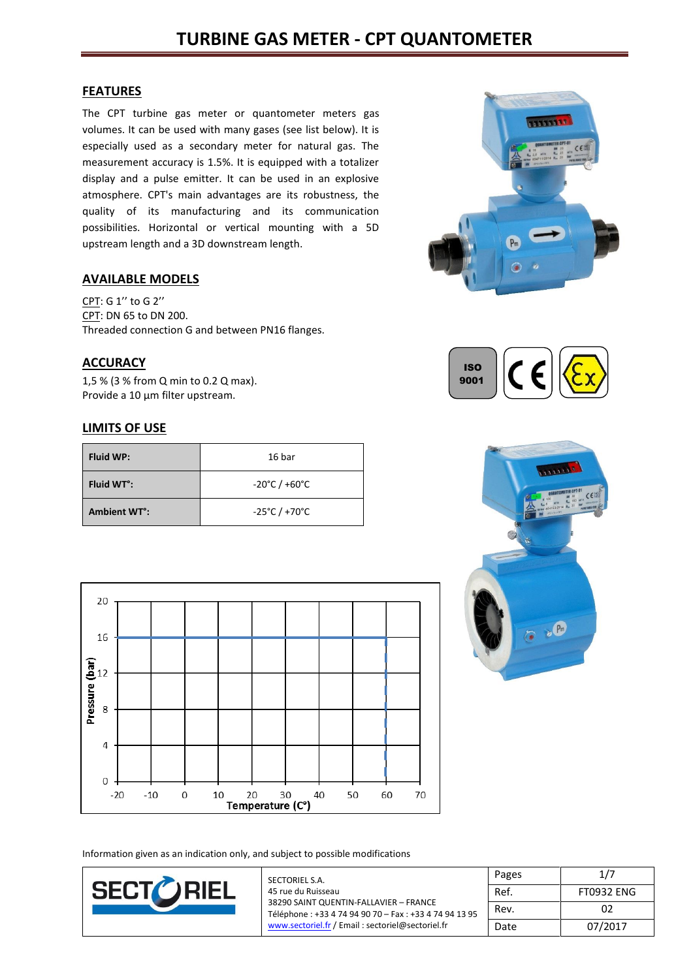### **FEATURES**

The CPT turbine gas meter or quantometer meters gas volumes. It can be used with many gases (see list below). It is especially used as a secondary meter for natural gas. The measurement accuracy is 1.5%. It is equipped with a totalizer display and a pulse emitter. It can be used in an explosive atmosphere. CPT's main advantages are its robustness, the quality of its manufacturing and its communication possibilities. Horizontal or vertical mounting with a 5D upstream length and a 3D downstream length.

### **AVAILABLE MODELS**

CPT: G 1'' to G 2'' CPT: DN 65 to DN 200. Threaded connection G and between PN16 flanges.

## **ACCURACY**

1,5 % (3 % from Q min to 0.2 Q max). Provide a 10 µm filter upstream.

### **LIMITS OF USE**

| <b>Fluid WP:</b>                | 16 bar                             |
|---------------------------------|------------------------------------|
| Fluid WT <sup>o</sup> :         | $-20^{\circ}$ C / $+60^{\circ}$ C  |
| <b>Ambient WT<sup>o</sup></b> : | $-25^{\circ}$ C / +70 $^{\circ}$ C |







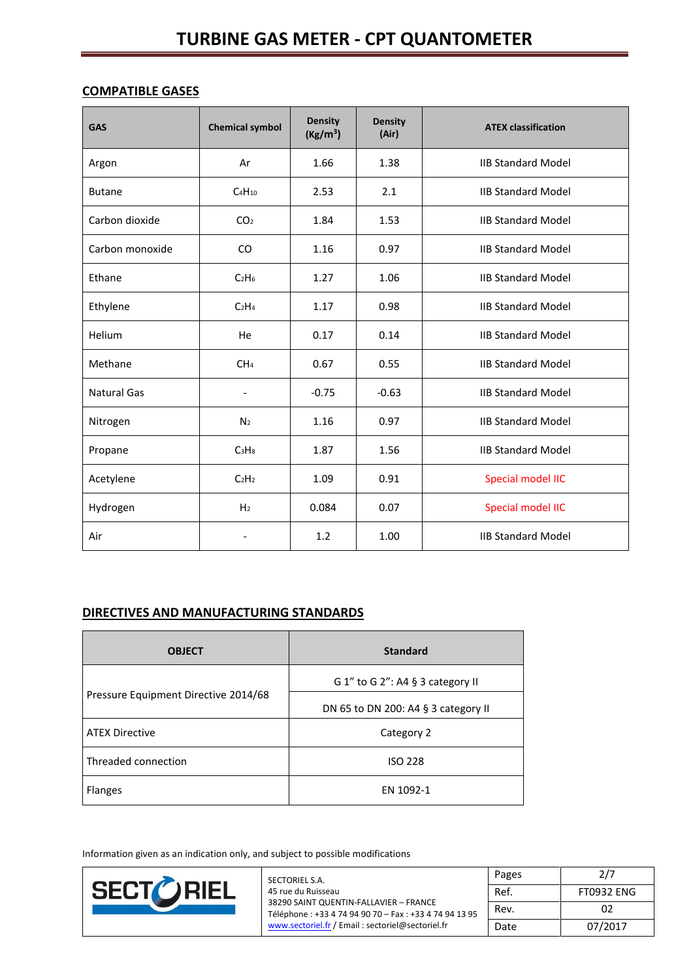# **COMPATIBLE GASES**

| <b>GAS</b>         | <b>Chemical symbol</b>        | <b>Density</b><br>(Kg/m <sup>3</sup> ) | <b>Density</b><br>(Air) | <b>ATEX classification</b> |
|--------------------|-------------------------------|----------------------------------------|-------------------------|----------------------------|
| Argon              | Ar                            | 1.66                                   | 1.38                    | <b>IIB Standard Model</b>  |
| <b>Butane</b>      | $C_4H_{10}$                   | 2.53                                   | 2.1                     | <b>IIB Standard Model</b>  |
| Carbon dioxide     | CO <sub>2</sub>               | 1.84                                   | 1.53                    | <b>IIB Standard Model</b>  |
| Carbon monoxide    | CO                            | 1.16                                   | 0.97                    | <b>IIB Standard Model</b>  |
| Ethane             | C <sub>2</sub> H <sub>6</sub> | 1.27                                   | 1.06                    | <b>IIB Standard Model</b>  |
| Ethylene           | C <sub>2</sub> H <sub>4</sub> | 1.17                                   | 0.98                    | <b>IIB Standard Model</b>  |
| <b>Helium</b>      | He                            | 0.17                                   | 0.14                    | <b>IIB Standard Model</b>  |
| Methane            | CH <sub>4</sub>               | 0.67                                   | 0.55                    | <b>IIB Standard Model</b>  |
| <b>Natural Gas</b> | $\overline{\phantom{a}}$      | $-0.75$                                | $-0.63$                 | <b>IIB Standard Model</b>  |
| Nitrogen           | N <sub>2</sub>                | 1.16                                   | 0.97                    | <b>IIB Standard Model</b>  |
| Propane            | C <sub>3</sub> H <sub>8</sub> | 1.87                                   | 1.56                    | <b>IIB Standard Model</b>  |
| Acetylene          | C <sub>2</sub> H <sub>2</sub> | 1.09                                   | 0.91                    | Special model IIC          |
| Hydrogen           | H <sub>2</sub>                | 0.084                                  | 0.07                    | Special model IIC          |
| Air                | $\overline{a}$                | 1.2                                    | 1.00                    | <b>IIB Standard Model</b>  |

## **DIRECTIVES AND MANUFACTURING STANDARDS**

| <b>OBJECT</b>                        | <b>Standard</b>                     |
|--------------------------------------|-------------------------------------|
|                                      | G 1" to G 2": A4 $\S$ 3 category II |
| Pressure Equipment Directive 2014/68 | DN 65 to DN 200: A4 § 3 category II |
| <b>ATEX Directive</b>                | Category 2                          |
| Threaded connection                  | <b>ISO 228</b>                      |
| <b>Flanges</b>                       | EN 1092-1                           |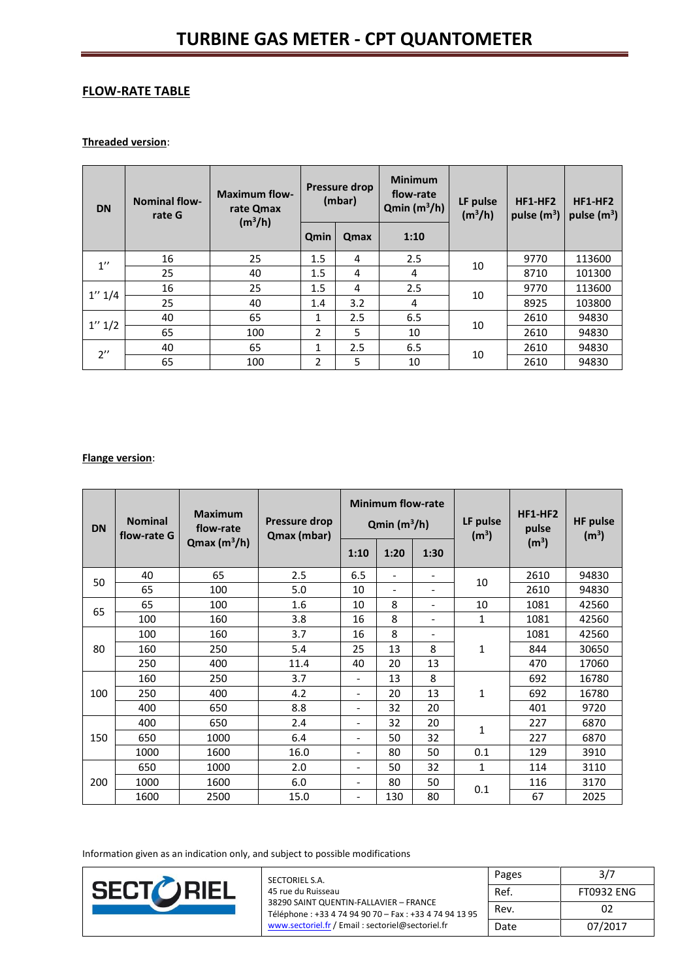# **FLOW-RATE TABLE**

#### **Threaded version**:

| <b>DN</b>          | <b>Nominal flow-</b><br>rate G | <b>Maximum flow-</b><br>rate Qmax<br>(m <sup>3</sup> /h) | <b>Pressure drop</b><br>(mbar) |      | <b>Minimum</b><br>flow-rate<br>$Qmin(m^3/h)$ | LF pulse<br>$(m^3/h)$ | $HF1-HF2$<br>pulse $(m^3)$ | $HF1-HF2$<br>pulse $(m^3)$ |
|--------------------|--------------------------------|----------------------------------------------------------|--------------------------------|------|----------------------------------------------|-----------------------|----------------------------|----------------------------|
|                    |                                |                                                          | Qmin                           | Qmax | 1:10                                         |                       |                            |                            |
| $1^{\prime\prime}$ | 16                             | 25                                                       | 1.5                            | 4    | 2.5                                          | 10                    | 9770                       | 113600                     |
|                    | 25                             | 40                                                       | 1.5                            | 4    | 4                                            |                       | 8710                       | 101300                     |
| 1'' 1/4            | 16                             | 25                                                       | 1.5                            | 4    | 2.5                                          | 10                    | 9770                       | 113600                     |
|                    | 25                             | 40                                                       | 1.4                            | 3.2  | 4                                            |                       | 8925                       | 103800                     |
| 1'' 1/2            | 40                             | 65                                                       | $\mathbf{1}$                   | 2.5  | 6.5                                          | 10                    | 2610                       | 94830                      |
|                    | 65                             | 100                                                      | 2                              | 5    | 10                                           |                       | 2610                       | 94830                      |
| $2^{\prime\prime}$ | 40                             | 65                                                       | 1                              | 2.5  | 6.5                                          | 10                    | 2610                       | 94830                      |
|                    | 65                             | 100                                                      | 2                              | 5    | 10                                           |                       | 2610                       | 94830                      |

### **Flange version**:

| <b>DN</b> | <b>Nominal</b><br>flow-rate G | <b>Maximum</b><br>flow-rate | <b>Pressure drop</b><br>Qmax (mbar) | <b>Minimum flow-rate</b><br>$Qmin(m^3/h)$ |                          | LF pulse<br>(m <sup>3</sup> ) | $HF1-HF2$<br>pulse | <b>HF</b> pulse<br>(m <sup>3</sup> ) |       |
|-----------|-------------------------------|-----------------------------|-------------------------------------|-------------------------------------------|--------------------------|-------------------------------|--------------------|--------------------------------------|-------|
|           |                               | $Qmax(m^3/h)$               |                                     | 1:10                                      | 1:20                     | 1:30                          |                    | (m <sup>3</sup> )                    |       |
| 50        | 40                            | 65                          | 2.5                                 | 6.5                                       | $\overline{\phantom{a}}$ | $\overline{\phantom{a}}$      | 10                 | 2610                                 | 94830 |
|           | 65                            | 100                         | 5.0                                 | 10                                        | $\overline{\phantom{a}}$ | $\overline{\phantom{a}}$      |                    | 2610                                 | 94830 |
| 65        | 65                            | 100                         | 1.6                                 | 10                                        | 8                        | $\overline{\phantom{a}}$      | 10                 | 1081                                 | 42560 |
|           | 100                           | 160                         | 3.8                                 | 16                                        | 8                        | $\overline{\phantom{0}}$      | $\mathbf{1}$       | 1081                                 | 42560 |
|           | 100                           | 160                         | 3.7                                 | 16                                        | 8                        | $\overline{\phantom{a}}$      |                    | 1081                                 | 42560 |
| 80        | 160                           | 250                         | 5.4                                 | 25                                        | 13                       | 8                             | 1                  | 844                                  | 30650 |
|           | 250                           | 400                         | 11.4                                | 40                                        | 20                       | 13                            |                    | 470                                  | 17060 |
|           | 160                           | 250                         | 3.7                                 | $\overline{\phantom{a}}$                  | 13                       | 8                             |                    | 692                                  | 16780 |
| 100       | 250                           | 400                         | 4.2                                 | $\overline{\phantom{a}}$                  | 20                       | 13                            | $\mathbf{1}$       | 692                                  | 16780 |
|           | 400                           | 650                         | 8.8                                 | $\overline{\phantom{a}}$                  | 32                       | 20                            |                    | 401                                  | 9720  |
|           | 400                           | 650                         | 2.4                                 | $\overline{\phantom{a}}$                  | 32                       | 20                            | 1                  | 227                                  | 6870  |
| 150       | 650                           | 1000                        | 6.4                                 | $\overline{\phantom{a}}$                  | 50                       | 32                            |                    | 227                                  | 6870  |
|           | 1000                          | 1600                        | 16.0                                | $\overline{\phantom{a}}$                  | 80                       | 50                            | 0.1                | 129                                  | 3910  |
|           | 650                           | 1000                        | 2.0                                 | $\overline{\phantom{a}}$                  | 50                       | 32                            | $\mathbf{1}$       | 114                                  | 3110  |
| 200       | 1000                          | 1600                        | 6.0                                 | $\overline{\phantom{a}}$                  | 80                       | 50                            | 0.1                | 116                                  | 3170  |
|           | 1600                          | 2500                        | 15.0                                | $\overline{\phantom{a}}$                  | 130                      | 80                            |                    | 67                                   | 2025  |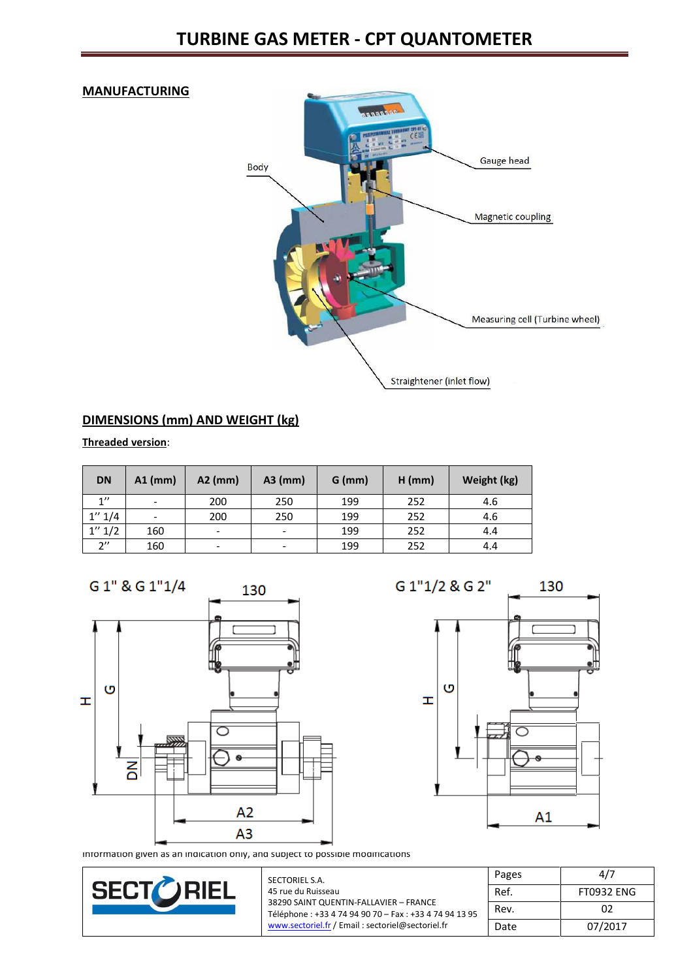### **MANUFACTURING**



# **DIMENSIONS (mm) AND WEIGHT (kg)**

**Threaded version**:

| <b>DN</b>          | $A1$ (mm)                | $A2$ (mm)                | $A3$ (mm)                | $G$ (mm) | $H$ (mm) | Weight (kg) |
|--------------------|--------------------------|--------------------------|--------------------------|----------|----------|-------------|
| 1''                | $\overline{\phantom{a}}$ | 200                      | 250                      | 199      | 252      | 4.6         |
| 1'' 1/4            | $\overline{\phantom{a}}$ | 200                      | 250                      | 199      | 252      | 4.6         |
| 1'' 1/2            | 160                      | $\overline{\phantom{a}}$ | $\overline{\phantom{0}}$ | 199      | 252      | 4.4         |
| $2^{\prime\prime}$ | 160                      | $\overline{\phantom{a}}$ |                          | 199      | 252      | 4.4         |

G 1" & G 1"1/4 130 O  $\pm$  $\circ$  $\overline{a}$  $A2$  $A<sub>3</sub>$ 

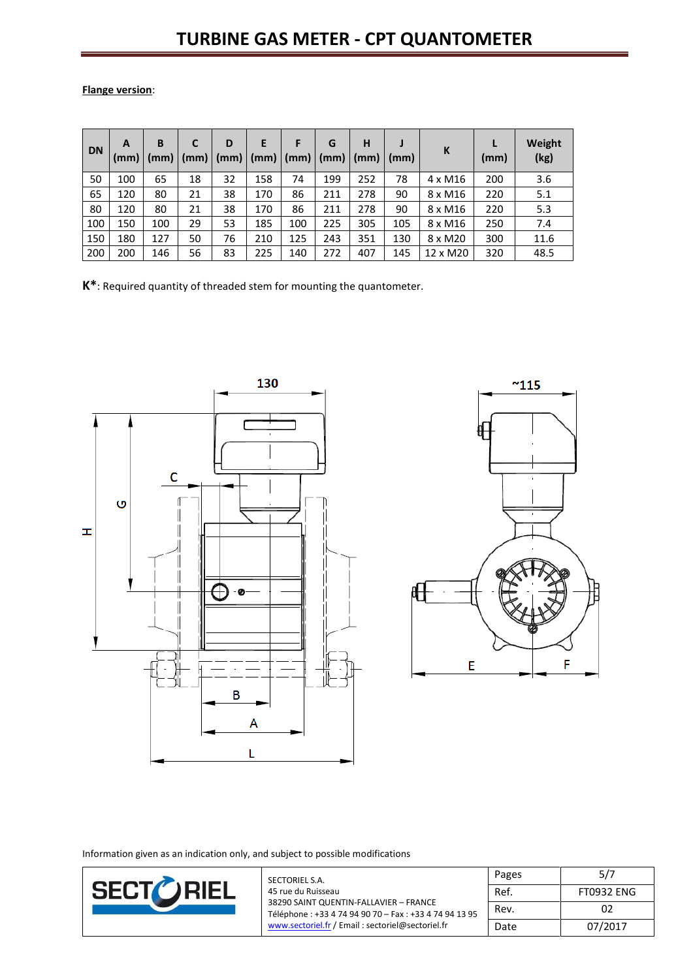**Flange version**:

| <b>DN</b> | A<br>(mm) | B<br>(mm) | C<br>(mm) | D  | E<br>$(mm)$ $(mm)$ $\vert$ | F<br>(mm) | G<br>(mm) | H<br>(mm) | (mm) | К              | (mm) | Weight<br>(kg) |
|-----------|-----------|-----------|-----------|----|----------------------------|-----------|-----------|-----------|------|----------------|------|----------------|
| 50        | 100       | 65        | 18        | 32 | 158                        | 74        | 199       | 252       | 78   | $4 \times M16$ | 200  | 3.6            |
| 65        | 120       | 80        | 21        | 38 | 170                        | 86        | 211       | 278       | 90   | 8 x M16        | 220  | 5.1            |
| 80        | 120       | 80        | 21        | 38 | 170                        | 86        | 211       | 278       | 90   | 8 x M16        | 220  | 5.3            |
| 100       | 150       | 100       | 29        | 53 | 185                        | 100       | 225       | 305       | 105  | 8 x M16        | 250  | 7.4            |
| 150       | 180       | 127       | 50        | 76 | 210                        | 125       | 243       | 351       | 130  | 8 x M20        | 300  | 11.6           |
| 200       | 200       | 146       | 56        | 83 | 225                        | 140       | 272       | 407       | 145  | 12 x M20       | 320  | 48.5           |

**K\***: Required quantity of threaded stem for mounting the quantometer.



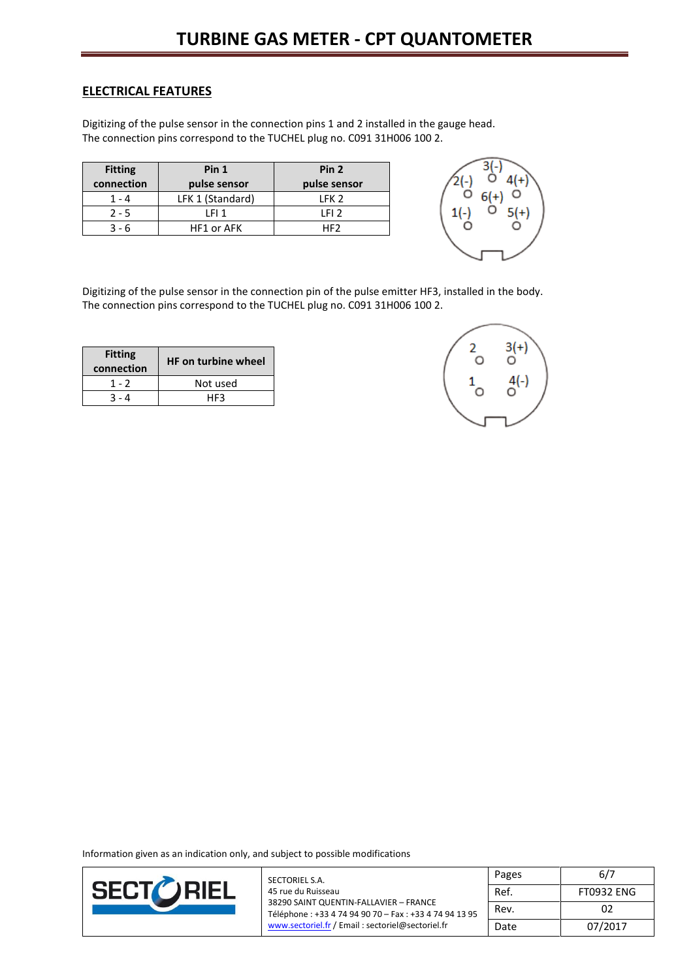### **ELECTRICAL FEATURES**

Digitizing of the pulse sensor in the connection pins 1 and 2 installed in the gauge head. The connection pins correspond to the TUCHEL plug no. C091 31H006 100 2.

| <b>Fitting</b> | Pin 1             | Pin <sub>2</sub> |
|----------------|-------------------|------------------|
| connection     | pulse sensor      | pulse sensor     |
| 1 - 4          | LFK 1 (Standard)  | LFK <sub>2</sub> |
| $2 - 5$        | LFI 1             | IFI <sub>2</sub> |
| २ - ६          | <b>HF1 or AFK</b> | HF2              |



Digitizing of the pulse sensor in the connection pin of the pulse emitter HF3, installed in the body. The connection pins correspond to the TUCHEL plug no. C091 31H006 100 2.

| <b>Fitting</b><br>connection | <b>HF on turbine wheel</b> |
|------------------------------|----------------------------|
| 1 - 2                        | Not used                   |
| 3 - 4                        | HF3                        |